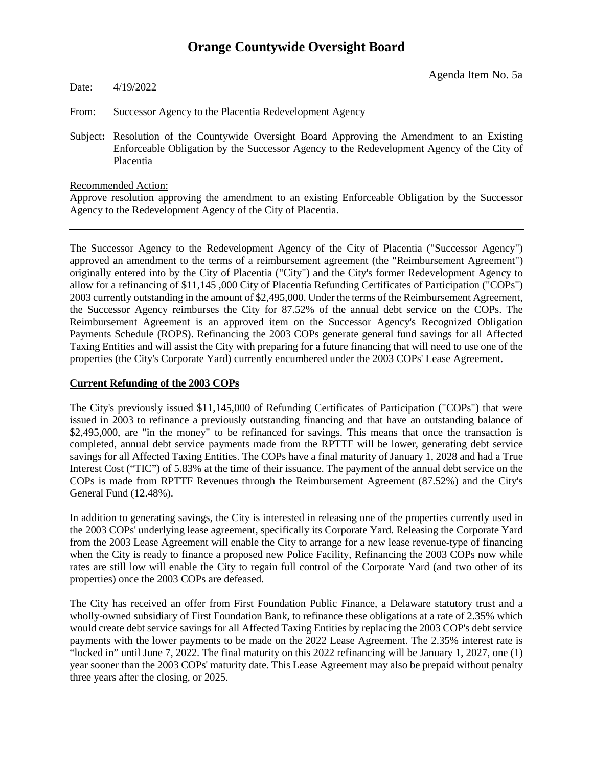Agenda Item No. 5a

Date: 4/19/2022

From: Successor Agency to the Placentia Redevelopment Agency

Subject**:** Resolution of the Countywide Oversight Board Approving the Amendment to an Existing Enforceable Obligation by the Successor Agency to the Redevelopment Agency of the City of Placentia

Recommended Action:

Approve resolution approving the amendment to an existing Enforceable Obligation by the Successor Agency to the Redevelopment Agency of the City of Placentia.

The Successor Agency to the Redevelopment Agency of the City of Placentia ("Successor Agency") approved an amendment to the terms of a reimbursement agreement (the "Reimbursement Agreement") originally entered into by the City of Placentia ("City") and the City's former Redevelopment Agency to allow for a refinancing of \$11,145 ,000 City of Placentia Refunding Certificates of Participation ("COPs") 2003 currently outstanding in the amount of \$2,495,000. Under the terms of the Reimbursement Agreement, the Successor Agency reimburses the City for 87.52% of the annual debt service on the COPs. The Reimbursement Agreement is an approved item on the Successor Agency's Recognized Obligation Payments Schedule (ROPS). Refinancing the 2003 COPs generate general fund savings for all Affected Taxing Entities and will assist the City with preparing for a future financing that will need to use one of the properties (the City's Corporate Yard) currently encumbered under the 2003 COPs' Lease Agreement.

### **Current Refunding of the 2003 COPs**

The City's previously issued \$11,145,000 of Refunding Certificates of Participation ("COPs") that were issued in 2003 to refinance a previously outstanding financing and that have an outstanding balance of \$2,495,000, are "in the money" to be refinanced for savings. This means that once the transaction is completed, annual debt service payments made from the RPTTF will be lower, generating debt service savings for all Affected Taxing Entities. The COPs have a final maturity of January 1, 2028 and had a True Interest Cost ("TIC") of 5.83% at the time of their issuance. The payment of the annual debt service on the COPs is made from RPTTF Revenues through the Reimbursement Agreement (87.52%) and the City's General Fund (12.48%).

In addition to generating savings, the City is interested in releasing one of the properties currently used in the 2003 COPs' underlying lease agreement, specifically its Corporate Yard. Releasing the Corporate Yard from the 2003 Lease Agreement will enable the City to arrange for a new lease revenue-type of financing when the City is ready to finance a proposed new Police Facility, Refinancing the 2003 COPs now while rates are still low will enable the City to regain full control of the Corporate Yard (and two other of its properties) once the 2003 COPs are defeased.

The City has received an offer from First Foundation Public Finance, a Delaware statutory trust and a wholly-owned subsidiary of First Foundation Bank, to refinance these obligations at a rate of 2.35% which would create debt service savings for all Affected Taxing Entities by replacing the 2003 COP's debt service payments with the lower payments to be made on the 2022 Lease Agreement. The 2.35% interest rate is "locked in" until June 7, 2022. The final maturity on this 2022 refinancing will be January 1, 2027, one (1) year sooner than the 2003 COPs' maturity date. This Lease Agreement may also be prepaid without penalty three years after the closing, or 2025.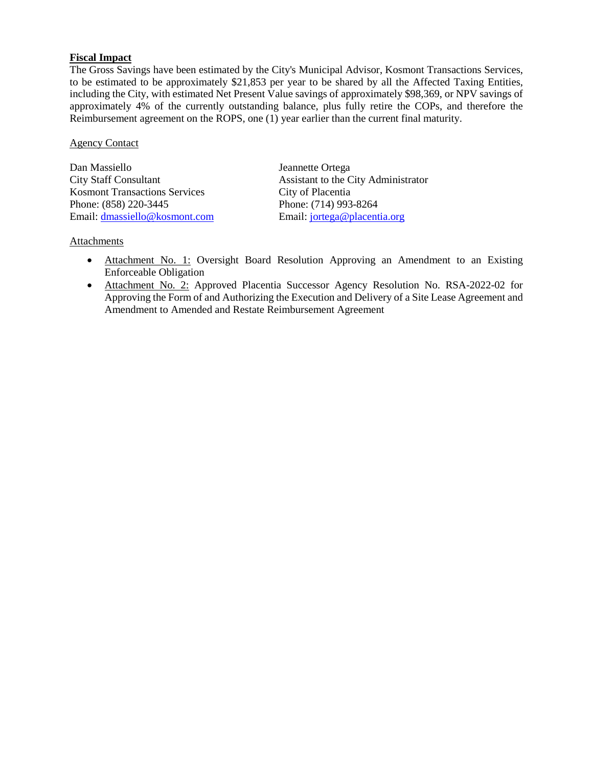### **Fiscal Impact**

The Gross Savings have been estimated by the City's Municipal Advisor, Kosmont Transactions Services, to be estimated to be approximately \$21,853 per year to be shared by all the Affected Taxing Entities, including the City, with estimated Net Present Value savings of approximately \$98,369, or NPV savings of approximately 4% of the currently outstanding balance, plus fully retire the COPs, and therefore the Reimbursement agreement on the ROPS, one (1) year earlier than the current final maturity.

### Agency Contact

Dan Massiello Jeannette Ortega City Staff Consultant Assistant to the City Administrator Kosmont Transactions Services City of Placentia Phone: (858) 220-3445 Phone: (714) 993-8264 Email: [dmassiello@kosmont.com](mailto:dmassiello@kosmont.com) Email: [jortega@placentia.org](mailto:jortega@placentia.org)

### Attachments

- Attachment No. 1: Oversight Board Resolution Approving an Amendment to an Existing Enforceable Obligation
- Attachment No. 2: Approved Placentia Successor Agency Resolution No. RSA-2022-02 for Approving the Form of and Authorizing the Execution and Delivery of a Site Lease Agreement and Amendment to Amended and Restate Reimbursement Agreement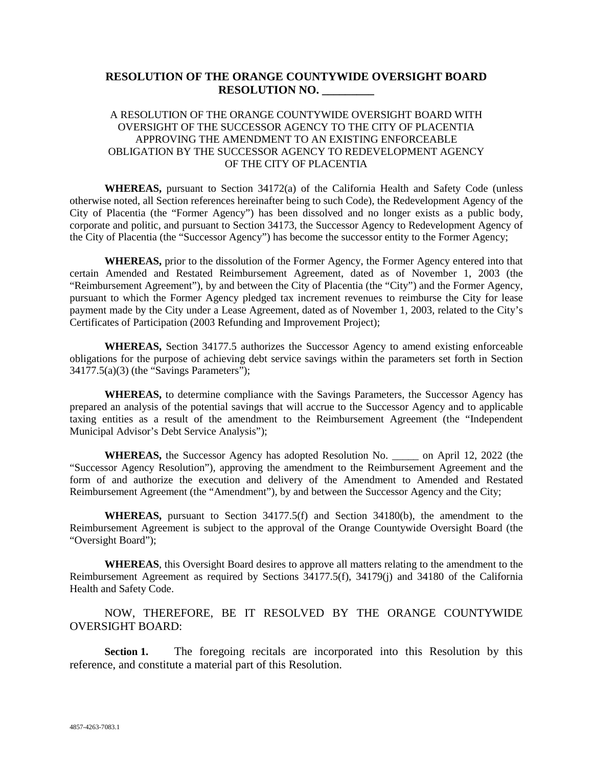### **RESOLUTION OF THE ORANGE COUNTYWIDE OVERSIGHT BOARD RESOLUTION NO. \_\_\_\_\_\_\_\_\_**

### A RESOLUTION OF THE ORANGE COUNTYWIDE OVERSIGHT BOARD WITH OVERSIGHT OF THE SUCCESSOR AGENCY TO THE CITY OF PLACENTIA APPROVING THE AMENDMENT TO AN EXISTING ENFORCEABLE OBLIGATION BY THE SUCCESSOR AGENCY TO REDEVELOPMENT AGENCY OF THE CITY OF PLACENTIA

**WHEREAS,** pursuant to Section 34172(a) of the California Health and Safety Code (unless otherwise noted, all Section references hereinafter being to such Code), the Redevelopment Agency of the City of Placentia (the "Former Agency") has been dissolved and no longer exists as a public body, corporate and politic, and pursuant to Section 34173, the Successor Agency to Redevelopment Agency of the City of Placentia (the "Successor Agency") has become the successor entity to the Former Agency;

**WHEREAS,** prior to the dissolution of the Former Agency, the Former Agency entered into that certain Amended and Restated Reimbursement Agreement, dated as of November 1, 2003 (the "Reimbursement Agreement"), by and between the City of Placentia (the "City") and the Former Agency, pursuant to which the Former Agency pledged tax increment revenues to reimburse the City for lease payment made by the City under a Lease Agreement, dated as of November 1, 2003, related to the City's Certificates of Participation (2003 Refunding and Improvement Project);

**WHEREAS,** Section 34177.5 authorizes the Successor Agency to amend existing enforceable obligations for the purpose of achieving debt service savings within the parameters set forth in Section  $34177.5(a)(3)$  (the "Savings Parameters");

**WHEREAS,** to determine compliance with the Savings Parameters, the Successor Agency has prepared an analysis of the potential savings that will accrue to the Successor Agency and to applicable taxing entities as a result of the amendment to the Reimbursement Agreement (the "Independent Municipal Advisor's Debt Service Analysis");

**WHEREAS,** the Successor Agency has adopted Resolution No. \_\_\_\_\_ on April 12, 2022 (the "Successor Agency Resolution"), approving the amendment to the Reimbursement Agreement and the form of and authorize the execution and delivery of the Amendment to Amended and Restated Reimbursement Agreement (the "Amendment"), by and between the Successor Agency and the City;

**WHEREAS,** pursuant to Section 34177.5(f) and Section 34180(b), the amendment to the Reimbursement Agreement is subject to the approval of the Orange Countywide Oversight Board (the "Oversight Board");

**WHEREAS**, this Oversight Board desires to approve all matters relating to the amendment to the Reimbursement Agreement as required by Sections 34177.5(f), 34179(j) and 34180 of the California Health and Safety Code.

NOW, THEREFORE, BE IT RESOLVED BY THE ORANGE COUNTYWIDE OVERSIGHT BOARD:

**Section 1.** The foregoing recitals are incorporated into this Resolution by this reference, and constitute a material part of this Resolution.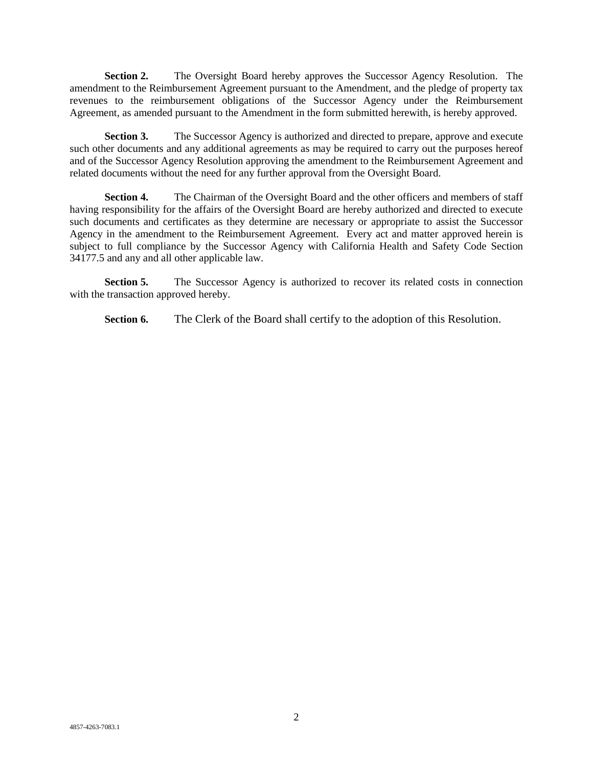**Section 2.** The Oversight Board hereby approves the Successor Agency Resolution. The amendment to the Reimbursement Agreement pursuant to the Amendment, and the pledge of property tax revenues to the reimbursement obligations of the Successor Agency under the Reimbursement Agreement, as amended pursuant to the Amendment in the form submitted herewith, is hereby approved.

**Section 3.** The Successor Agency is authorized and directed to prepare, approve and execute such other documents and any additional agreements as may be required to carry out the purposes hereof and of the Successor Agency Resolution approving the amendment to the Reimbursement Agreement and related documents without the need for any further approval from the Oversight Board.

Section 4. The Chairman of the Oversight Board and the other officers and members of staff having responsibility for the affairs of the Oversight Board are hereby authorized and directed to execute such documents and certificates as they determine are necessary or appropriate to assist the Successor Agency in the amendment to the Reimbursement Agreement. Every act and matter approved herein is subject to full compliance by the Successor Agency with California Health and Safety Code Section 34177.5 and any and all other applicable law.

**Section 5.** The Successor Agency is authorized to recover its related costs in connection with the transaction approved hereby.

**Section 6.** The Clerk of the Board shall certify to the adoption of this Resolution.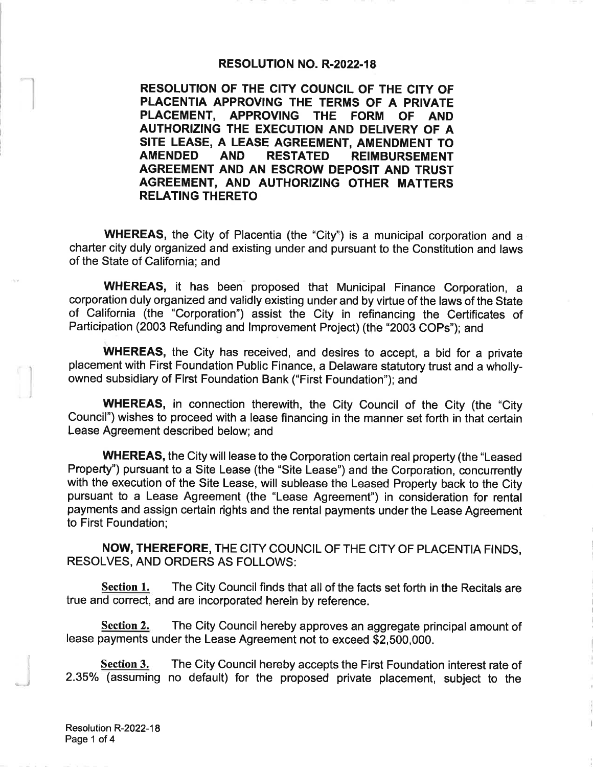#### **RESOLUTION NO. R-2022-18**

RESOLUTION OF THE CITY COUNCIL OF THE CITY OF PLACENTIA APPROVING THE TERMS OF A PRIVATE PLACEMENT, APPROVING THE FORM OF AND AUTHORIZING THE EXECUTION AND DELIVERY OF A SITE LEASE, A LEASE AGREEMENT, AMENDMENT TO **RESTATED AMENDED AND REIMBURSEMENT** AGREEMENT AND AN ESCROW DEPOSIT AND TRUST AGREEMENT, AND AUTHORIZING OTHER MATTERS **RELATING THERETO** 

**WHEREAS**, the City of Placentia (the "City") is a municipal corporation and a charter city duly organized and existing under and pursuant to the Constitution and laws of the State of California; and

**WHEREAS,** it has been proposed that Municipal Finance Corporation, a corporation duly organized and validly existing under and by virtue of the laws of the State of California (the "Corporation") assist the City in refinancing the Certificates of Participation (2003 Refunding and Improvement Project) (the "2003 COPs"); and

**WHEREAS**, the City has received, and desires to accept, a bid for a private placement with First Foundation Public Finance, a Delaware statutory trust and a whollyowned subsidiary of First Foundation Bank ("First Foundation"); and

**WHEREAS, in connection therewith, the City Council of the City (the "City** Council") wishes to proceed with a lease financing in the manner set forth in that certain Lease Agreement described below; and

**WHEREAS, the City will lease to the Corporation certain real property (the "Leased** Property") pursuant to a Site Lease (the "Site Lease") and the Corporation, concurrently with the execution of the Site Lease, will sublease the Leased Property back to the City pursuant to a Lease Agreement (the "Lease Agreement") in consideration for rental payments and assign certain rights and the rental payments under the Lease Agreement to First Foundation;

NOW, THEREFORE, THE CITY COUNCIL OF THE CITY OF PLACENTIA FINDS, **RESOLVES, AND ORDERS AS FOLLOWS:** 

Section 1. The City Council finds that all of the facts set forth in the Recitals are true and correct, and are incorporated herein by reference.

The City Council hereby approves an aggregate principal amount of Section 2. lease payments under the Lease Agreement not to exceed \$2,500,000.

**Section 3.** The City Council hereby accepts the First Foundation interest rate of 2.35% (assuming no default) for the proposed private placement, subject to the

Resolution R-2022-18 Page 1 of 4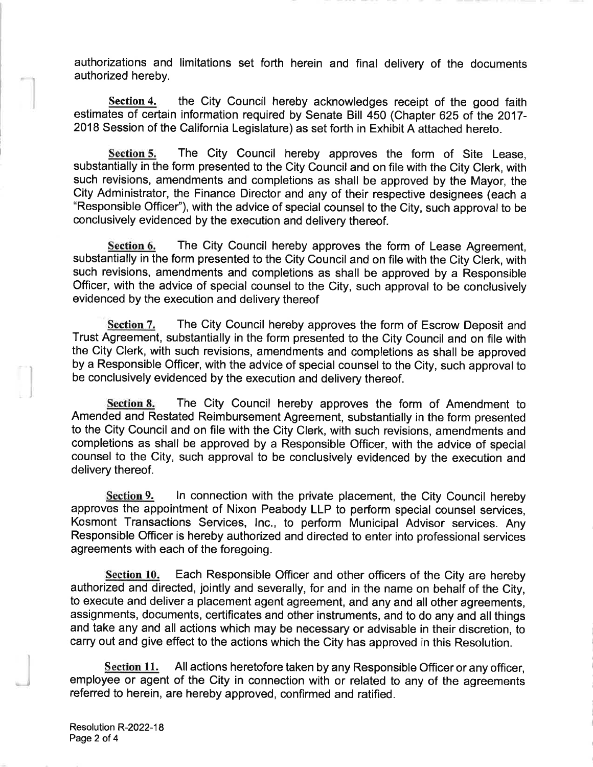authorizations and limitations set forth herein and final delivery of the documents authorized hereby.

the City Council hereby acknowledges receipt of the good faith Section 4. estimates of certain information required by Senate Bill 450 (Chapter 625 of the 2017-2018 Session of the California Legislature) as set forth in Exhibit A attached hereto.

The City Council hereby approves the form of Site Lease, Section 5. substantially in the form presented to the City Council and on file with the City Clerk, with such revisions, amendments and completions as shall be approved by the Mayor, the City Administrator, the Finance Director and any of their respective designees (each a "Responsible Officer"), with the advice of special counsel to the City, such approval to be conclusively evidenced by the execution and delivery thereof.

Section 6. The City Council hereby approves the form of Lease Agreement. substantially in the form presented to the City Council and on file with the City Clerk, with such revisions, amendments and completions as shall be approved by a Responsible Officer, with the advice of special counsel to the City, such approval to be conclusively evidenced by the execution and delivery thereof

The City Council hereby approves the form of Escrow Deposit and Section 7. Trust Agreement, substantially in the form presented to the City Council and on file with the City Clerk, with such revisions, amendments and completions as shall be approved by a Responsible Officer, with the advice of special counsel to the City, such approval to be conclusively evidenced by the execution and delivery thereof.

**Section 8.** The City Council hereby approves the form of Amendment to Amended and Restated Reimbursement Agreement, substantially in the form presented to the City Council and on file with the City Clerk, with such revisions, amendments and completions as shall be approved by a Responsible Officer, with the advice of special counsel to the City, such approval to be conclusively evidenced by the execution and delivery thereof.

Section 9. In connection with the private placement, the City Council hereby approves the appointment of Nixon Peabody LLP to perform special counsel services, Kosmont Transactions Services, Inc., to perform Municipal Advisor services. Any Responsible Officer is hereby authorized and directed to enter into professional services agreements with each of the foregoing.

Section 10. Each Responsible Officer and other officers of the City are hereby authorized and directed, jointly and severally, for and in the name on behalf of the City, to execute and deliver a placement agent agreement, and any and all other agreements, assignments, documents, certificates and other instruments, and to do any and all things and take any and all actions which may be necessary or advisable in their discretion, to carry out and give effect to the actions which the City has approved in this Resolution.

**Section 11.** All actions heretofore taken by any Responsible Officer or any officer, employee or agent of the City in connection with or related to any of the agreements referred to herein, are hereby approved, confirmed and ratified.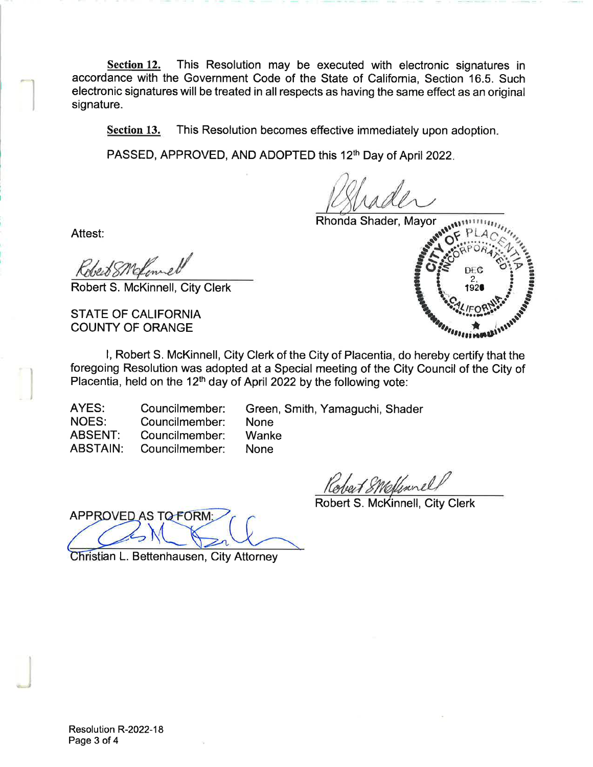This Resolution may be executed with electronic signatures in Section 12. accordance with the Government Code of the State of California, Section 16.5. Such electronic signatures will be treated in all respects as having the same effect as an original signature.

Section 13. This Resolution becomes effective immediately upon adoption.

PASSED, APPROVED, AND ADOPTED this 12<sup>th</sup> Day of April 2022.

Rhonda Shader, Mayor

Attest:

Robert S. McKinnell, City Clerk

**STATE OF CALIFORNIA COUNTY OF ORANGE** 

I, Robert S. McKinnell, City Clerk of the City of Placentia, do hereby certify that the foregoing Resolution was adopted at a Special meeting of the City Council of the City of Placentia, held on the 12<sup>th</sup> day of April 2022 by the following vote:

**None** 

**None** 

Wanke

AYES: Councilmember: **NOES:** Councilmember: **ABSENT:** Councilmember: Councilmember: **ABSTAIN:** 

Green, Smith, Yamaguchi, Shader

Kobert SNoffmnel

Robert S. McKinnell, City Clerk

APPROVED AS TO FORM:

Christian L. Bettenhausen, City Attorney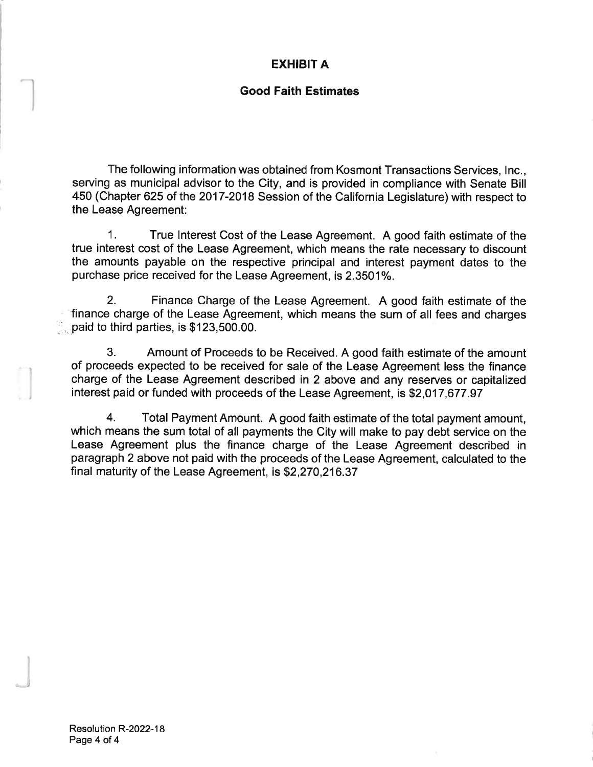# **EXHIBIT A**

# **Good Faith Estimates**

The following information was obtained from Kosmont Transactions Services, Inc., serving as municipal advisor to the City, and is provided in compliance with Senate Bill 450 (Chapter 625 of the 2017-2018 Session of the California Legislature) with respect to the Lease Agreement:

 $1<sub>1</sub>$ True Interest Cost of the Lease Agreement. A good faith estimate of the true interest cost of the Lease Agreement, which means the rate necessary to discount the amounts payable on the respective principal and interest payment dates to the purchase price received for the Lease Agreement, is 2.3501%.

 $2<sub>1</sub>$ Finance Charge of the Lease Agreement. A good faith estimate of the finance charge of the Lease Agreement, which means the sum of all fees and charges paid to third parties, is \$123,500.00.

3. Amount of Proceeds to be Received. A good faith estimate of the amount of proceeds expected to be received for sale of the Lease Agreement less the finance charge of the Lease Agreement described in 2 above and any reserves or capitalized interest paid or funded with proceeds of the Lease Agreement, is \$2,017,677.97

 $4<sub>1</sub>$ Total Payment Amount. A good faith estimate of the total payment amount. which means the sum total of all payments the City will make to pay debt service on the Lease Agreement plus the finance charge of the Lease Agreement described in paragraph 2 above not paid with the proceeds of the Lease Agreement, calculated to the final maturity of the Lease Agreement, is \$2,270,216.37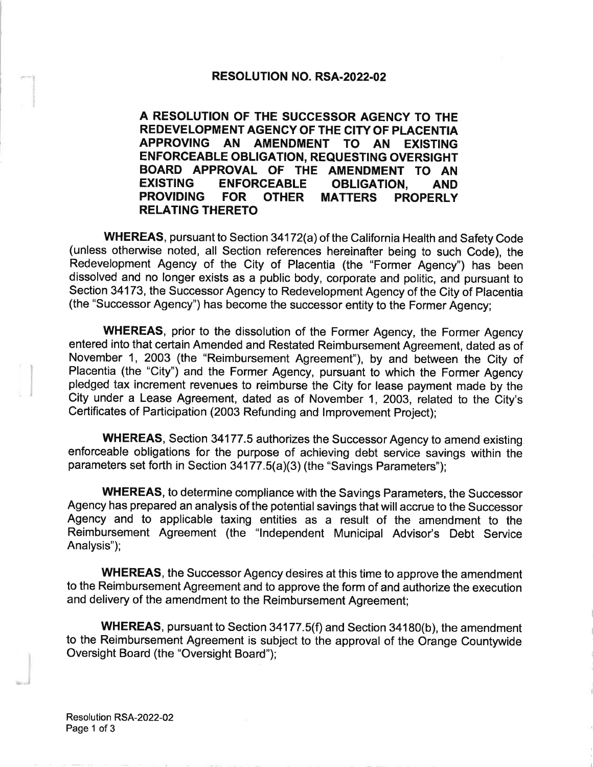#### **RESOLUTION NO. RSA-2022-02**

A RESOLUTION OF THE SUCCESSOR AGENCY TO THE REDEVELOPMENT AGENCY OF THE CITY OF PLACENTIA APPROVING AN AMENDMENT TO AN EXISTING **ENFORCEABLE OBLIGATION, REQUESTING OVERSIGHT** BOARD APPROVAL OF THE AMENDMENT TO AN **EXISTING ENFORCEABLE OBLIGATION. AND PROVIDING FOR OTHER MATTERS PROPERLY RELATING THERETO** 

WHEREAS, pursuant to Section 34172(a) of the California Health and Safety Code (unless otherwise noted, all Section references hereinafter being to such Code), the Redevelopment Agency of the City of Placentia (the "Former Agency") has been dissolved and no longer exists as a public body, corporate and politic, and pursuant to Section 34173, the Successor Agency to Redevelopment Agency of the City of Placentia (the "Successor Agency") has become the successor entity to the Former Agency;

**WHEREAS, prior to the dissolution of the Former Agency, the Former Agency** entered into that certain Amended and Restated Reimbursement Agreement, dated as of November 1, 2003 (the "Reimbursement Agreement"), by and between the City of Placentia (the "City") and the Former Agency, pursuant to which the Former Agency pledged tax increment revenues to reimburse the City for lease payment made by the City under a Lease Agreement, dated as of November 1, 2003, related to the City's Certificates of Participation (2003 Refunding and Improvement Project);

**WHEREAS, Section 34177.5 authorizes the Successor Agency to amend existing.** enforceable obligations for the purpose of achieving debt service savings within the parameters set forth in Section 34177.5(a)(3) (the "Savings Parameters");

**WHEREAS, to determine compliance with the Savings Parameters, the Successor** Agency has prepared an analysis of the potential savings that will accrue to the Successor Agency and to applicable taxing entities as a result of the amendment to the Reimbursement Agreement (the "Independent Municipal Advisor's Debt Service Analysis");

**WHEREAS**, the Successor Agency desires at this time to approve the amendment to the Reimbursement Agreement and to approve the form of and authorize the execution and delivery of the amendment to the Reimbursement Agreement;

**WHEREAS**, pursuant to Section 34177.5(f) and Section 34180(b), the amendment to the Reimbursement Agreement is subject to the approval of the Orange Countywide Oversight Board (the "Oversight Board");

Resolution RSA-2022-02 Page 1 of 3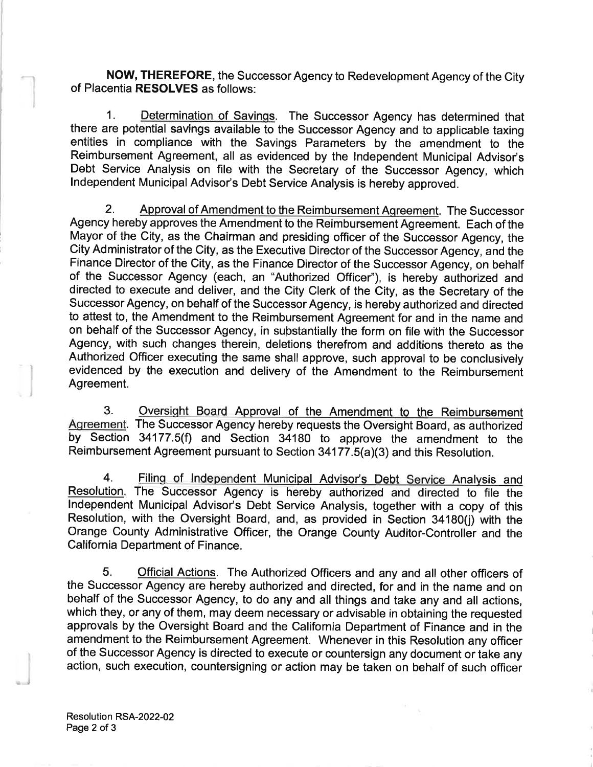NOW, THEREFORE, the Successor Agency to Redevelopment Agency of the City of Placentia RESOLVES as follows:

Determination of Savings. The Successor Agency has determined that  $1<sub>1</sub>$ there are potential savings available to the Successor Agency and to applicable taxing entities in compliance with the Savings Parameters by the amendment to the Reimbursement Agreement, all as evidenced by the Independent Municipal Advisor's Debt Service Analysis on file with the Secretary of the Successor Agency, which Independent Municipal Advisor's Debt Service Analysis is hereby approved.

Approval of Amendment to the Reimbursement Agreement. The Successor 2. Agency hereby approves the Amendment to the Reimbursement Agreement. Each of the Mayor of the City, as the Chairman and presiding officer of the Successor Agency, the City Administrator of the City, as the Executive Director of the Successor Agency, and the Finance Director of the City, as the Finance Director of the Successor Agency, on behalf of the Successor Agency (each, an "Authorized Officer"), is hereby authorized and directed to execute and deliver, and the City Clerk of the City, as the Secretary of the Successor Agency, on behalf of the Successor Agency, is hereby authorized and directed to attest to, the Amendment to the Reimbursement Agreement for and in the name and on behalf of the Successor Agency, in substantially the form on file with the Successor Agency, with such changes therein, deletions therefrom and additions thereto as the Authorized Officer executing the same shall approve, such approval to be conclusively evidenced by the execution and delivery of the Amendment to the Reimbursement Agreement.

 $3.$ Oversight Board Approval of the Amendment to the Reimbursement Agreement. The Successor Agency hereby requests the Oversight Board, as authorized by Section 34177.5(f) and Section 34180 to approve the amendment to the Reimbursement Agreement pursuant to Section 34177.5(a)(3) and this Resolution.

 $4.$ Filing of Independent Municipal Advisor's Debt Service Analysis and Resolution. The Successor Agency is hereby authorized and directed to file the Independent Municipal Advisor's Debt Service Analysis, together with a copy of this Resolution, with the Oversight Board, and, as provided in Section 34180(j) with the Orange County Administrative Officer, the Orange County Auditor-Controller and the California Department of Finance.

5. **Official Actions.** The Authorized Officers and any and all other officers of the Successor Agency are hereby authorized and directed, for and in the name and on behalf of the Successor Agency, to do any and all things and take any and all actions, which they, or any of them, may deem necessary or advisable in obtaining the requested approvals by the Oversight Board and the California Department of Finance and in the amendment to the Reimbursement Agreement. Whenever in this Resolution any officer of the Successor Agency is directed to execute or countersign any document or take any action, such execution, countersigning or action may be taken on behalf of such officer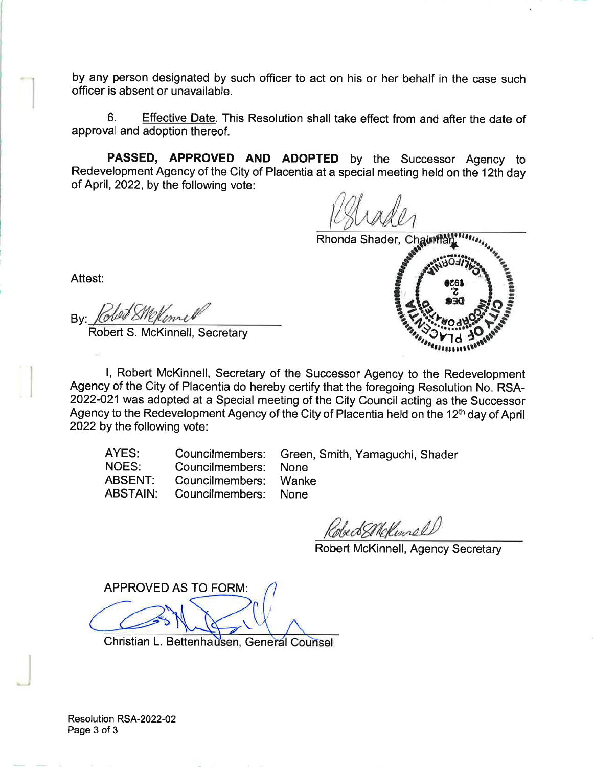by any person designated by such officer to act on his or her behalf in the case such officer is absent or unavailable.

6. Effective Date. This Resolution shall take effect from and after the date of approval and adoption thereof.

PASSED, APPROVED AND ADOPTED by the Successor Agency to Redevelopment Agency of the City of Placentia at a special meeting held on the 12th day of April, 2022, by the following vote:

Rhonda Shader, Chaintlay



Attest:

By Kobed Shekome

Robert S. McKinnell, Secretary

I, Robert McKinnell, Secretary of the Successor Agency to the Redevelopment Agency of the City of Placentia do hereby certify that the foregoing Resolution No. RSA-2022-021 was adopted at a Special meeting of the City Council acting as the Successor Agency to the Redevelopment Agency of the City of Placentia held on the 12<sup>th</sup> day of April 2022 by the following vote:

| AYES:<br>NOES:<br>ABSENT: | Councilmembers: None<br>Councilmembers: Wanke | Councilmembers: Green, Smith, Yamaguchi, Shader |
|---------------------------|-----------------------------------------------|-------------------------------------------------|
| ABSTAIN:                  | Councilmembers: None                          |                                                 |

Robert Mellewrell

Robert McKinnell, Agency Secretary

**APPROVED AS TO FORM:** 

Christian L. Bettenhausen, General Counsel

Resolution RSA-2022-02 Page 3 of 3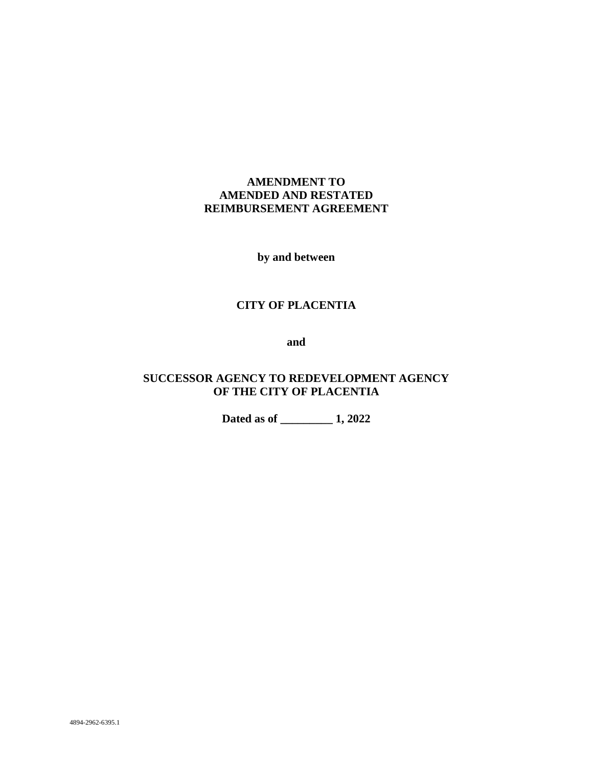# **AMENDMENT TO AMENDED AND RESTATED REIMBURSEMENT AGREEMENT**

**by and between**

# **CITY OF PLACENTIA**

**and**

# **SUCCESSOR AGENCY TO REDEVELOPMENT AGENCY OF THE CITY OF PLACENTIA**

**Dated as of \_\_\_\_\_\_\_\_\_ 1, 2022**

4894-2962-6395.1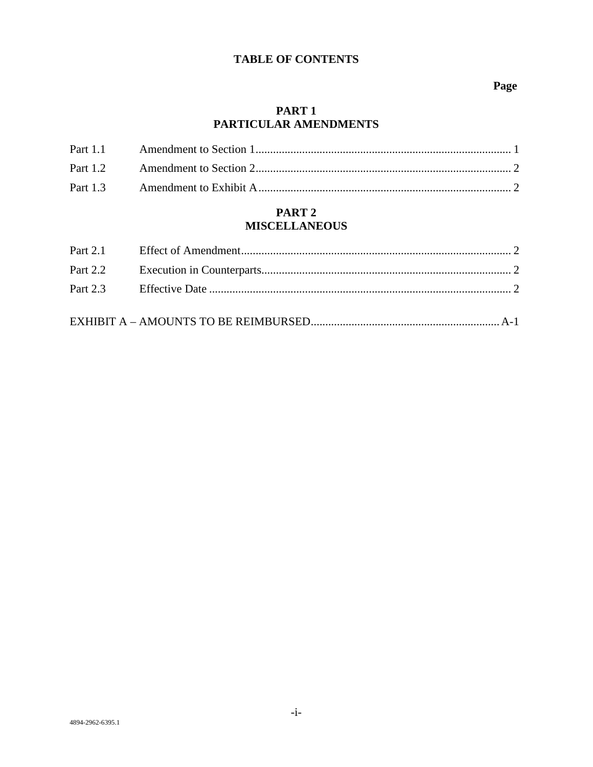# **TABLE OF CONTENTS**

### Page

### PART<sub>1</sub> PARTICULAR AMENDMENTS

# PART<sub>2</sub> **MISCELLANEOUS**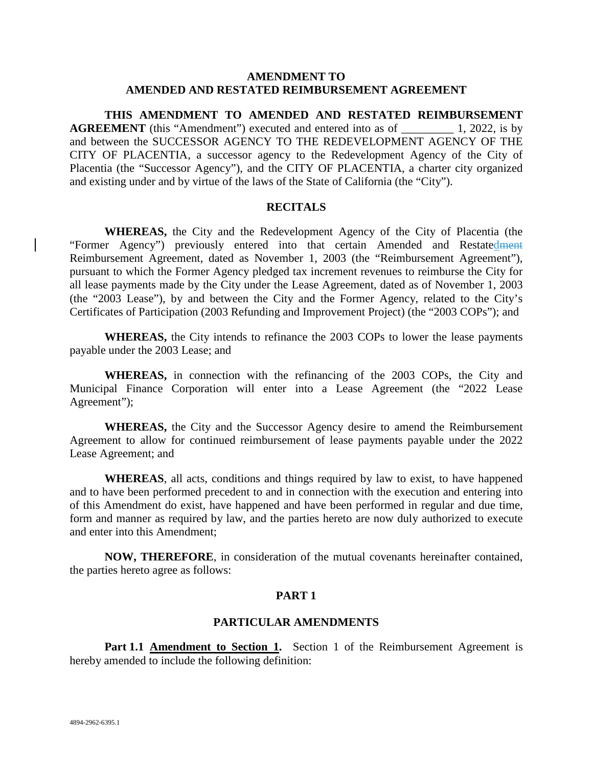### **AMENDMENT TO AMENDED AND RESTATED REIMBURSEMENT AGREEMENT**

**THIS AMENDMENT TO AMENDED AND RESTATED REIMBURSEMENT AGREEMENT** (this "Amendment") executed and entered into as of 1, 2022, is by and between the SUCCESSOR AGENCY TO THE REDEVELOPMENT AGENCY OF THE CITY OF PLACENTIA, a successor agency to the Redevelopment Agency of the City of Placentia (the "Successor Agency"), and the CITY OF PLACENTIA, a charter city organized and existing under and by virtue of the laws of the State of California (the "City").

#### **RECITALS**

**WHEREAS,** the City and the Redevelopment Agency of the City of Placentia (the "Former Agency") previously entered into that certain Amended and Restatedment Reimbursement Agreement, dated as November 1, 2003 (the "Reimbursement Agreement"), pursuant to which the Former Agency pledged tax increment revenues to reimburse the City for all lease payments made by the City under the Lease Agreement, dated as of November 1, 2003 (the "2003 Lease"), by and between the City and the Former Agency, related to the City's Certificates of Participation (2003 Refunding and Improvement Project) (the "2003 COPs"); and

**WHEREAS,** the City intends to refinance the 2003 COPs to lower the lease payments payable under the 2003 Lease; and

**WHEREAS,** in connection with the refinancing of the 2003 COPs, the City and Municipal Finance Corporation will enter into a Lease Agreement (the "2022 Lease Agreement");

**WHEREAS,** the City and the Successor Agency desire to amend the Reimbursement Agreement to allow for continued reimbursement of lease payments payable under the 2022 Lease Agreement; and

**WHEREAS**, all acts, conditions and things required by law to exist, to have happened and to have been performed precedent to and in connection with the execution and entering into of this Amendment do exist, have happened and have been performed in regular and due time, form and manner as required by law, and the parties hereto are now duly authorized to execute and enter into this Amendment;

**NOW, THEREFORE**, in consideration of the mutual covenants hereinafter contained, the parties hereto agree as follows:

### **PART 1**

### **PARTICULAR AMENDMENTS**

**Part 1.1 Amendment to Section 1.** Section 1 of the Reimbursement Agreement is hereby amended to include the following definition: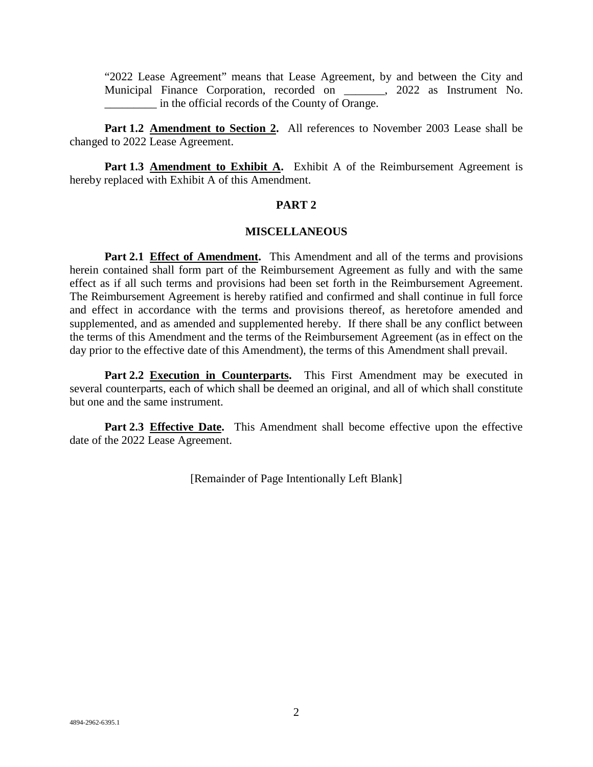"2022 Lease Agreement" means that Lease Agreement, by and between the City and Municipal Finance Corporation, recorded on \_\_\_\_\_\_\_, 2022 as Instrument No. \_\_\_\_\_\_\_\_\_ in the official records of the County of Orange.

Part 1.2 Amendment to Section 2. All references to November 2003 Lease shall be changed to 2022 Lease Agreement.

Part 1.3 **Amendment to Exhibit A.** Exhibit A of the Reimbursement Agreement is hereby replaced with Exhibit A of this Amendment.

### **PART 2**

### **MISCELLANEOUS**

**Part 2.1 Effect of Amendment.** This Amendment and all of the terms and provisions herein contained shall form part of the Reimbursement Agreement as fully and with the same effect as if all such terms and provisions had been set forth in the Reimbursement Agreement. The Reimbursement Agreement is hereby ratified and confirmed and shall continue in full force and effect in accordance with the terms and provisions thereof, as heretofore amended and supplemented, and as amended and supplemented hereby. If there shall be any conflict between the terms of this Amendment and the terms of the Reimbursement Agreement (as in effect on the day prior to the effective date of this Amendment), the terms of this Amendment shall prevail.

**Part 2.2 Execution in Counterparts.** This First Amendment may be executed in several counterparts, each of which shall be deemed an original, and all of which shall constitute but one and the same instrument.

**Part 2.3 Effective Date.** This Amendment shall become effective upon the effective date of the 2022 Lease Agreement.

[Remainder of Page Intentionally Left Blank]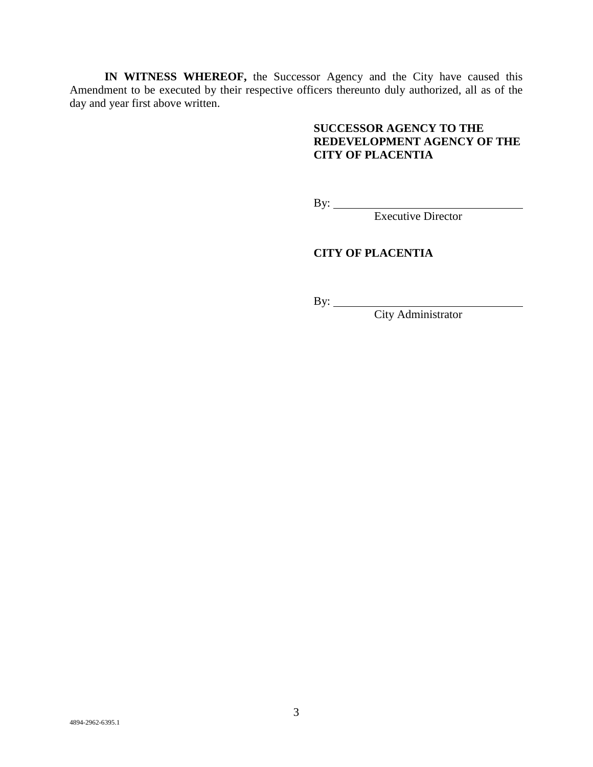**IN WITNESS WHEREOF,** the Successor Agency and the City have caused this Amendment to be executed by their respective officers thereunto duly authorized, all as of the day and year first above written.

# **SUCCESSOR AGENCY TO THE REDEVELOPMENT AGENCY OF THE CITY OF PLACENTIA**

By:

Executive Director

# **CITY OF PLACENTIA**

By:

City Administrator